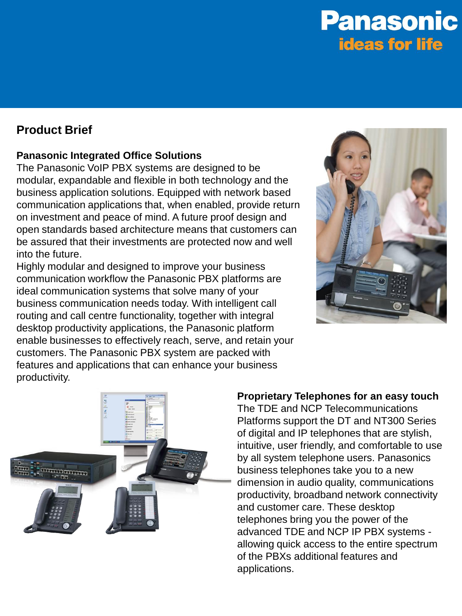## **Product Brief**

### **Panasonic Integrated Office Solutions**

The Panasonic VoIP PBX systems are designed to be modular, expandable and flexible in both technology and the business application solutions. Equipped with network based communication applications that, when enabled, provide return on investment and peace of mind. A future proof design and open standards based architecture means that customers can be assured that their investments are protected now and well into the future.

Highly modular and designed to improve your business communication workflow the Panasonic PBX platforms are ideal communication systems that solve many of your business communication needs today. With intelligent call routing and call centre functionality, together with integral desktop productivity applications, the Panasonic platform enable businesses to effectively reach, serve, and retain your customers. The Panasonic PBX system are packed with features and applications that can enhance your business productivity.





### **Proprietary Telephones for an easy touch**

The TDE and NCP Telecommunications Platforms support the DT and NT300 Series of digital and IP telephones that are stylish, intuitive, user friendly, and comfortable to use by all system telephone users. Panasonics business telephones take you to a new dimension in audio quality, communications productivity, broadband network connectivity and customer care. These desktop telephones bring you the power of the advanced TDE and NCP IP PBX systems allowing quick access to the entire spectrum of the PBXs additional features and applications.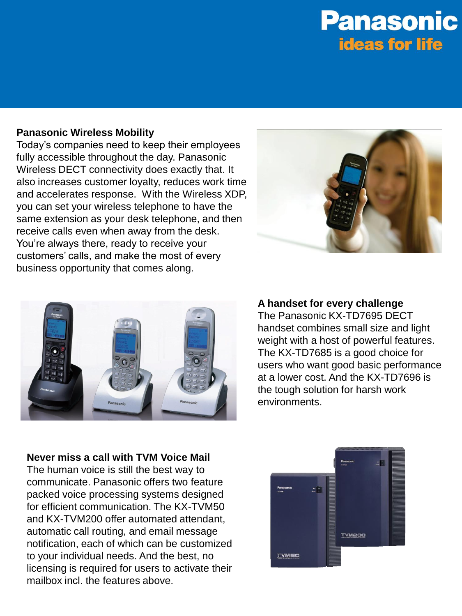#### **Panasonic Wireless Mobility**

Today's companies need to keep their employees fully accessible throughout the day. Panasonic Wireless DECT connectivity does exactly that. It also increases customer loyalty, reduces work time and accelerates response. With the Wireless XDP, you can set your wireless telephone to have the same extension as your desk telephone, and then receive calls even when away from the desk. You're always there, ready to receive your customers' calls, and make the most of every business opportunity that comes along.





### **A handset for every challenge**

The Panasonic KX-TD7695 DECT handset combines small size and light weight with a host of powerful features. The KX-TD7685 is a good choice for users who want good basic performance at a lower cost. And the KX-TD7696 is the tough solution for harsh work environments.

**Never miss a call with TVM Voice Mail** The human voice is still the best way to communicate. Panasonic offers two feature packed voice processing systems designed for efficient communication. The KX-TVM50 and KX-TVM200 offer automated attendant, automatic call routing, and email message notification, each of which can be customized to your individual needs. And the best, no licensing is required for users to activate their mailbox incl. the features above.

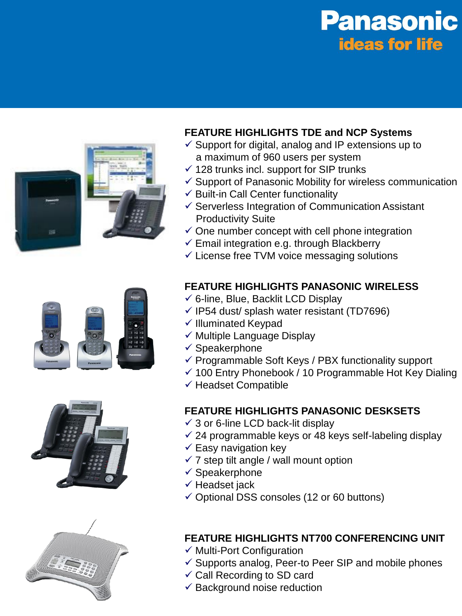

## **FEATURE HIGHLIGHTS TDE and NCP Systems**

- $\checkmark$  Support for digital, analog and IP extensions up to a maximum of 960 users per system
- $\checkmark$  128 trunks incl. support for SIP trunks
- $\checkmark$  Support of Panasonic Mobility for wireless communication
- $\checkmark$  Built-in Call Center functionality
- $\checkmark$  Serverless Integration of Communication Assistant Productivity Suite
- $\checkmark$  One number concept with cell phone integration
- $\checkmark$  Email integration e.g. through Blackberry
- $\checkmark$  License free TVM voice messaging solutions







## **FEATURE HIGHLIGHTS PANASONIC WIRELESS**

- $\checkmark$  6-line, Blue, Backlit LCD Display
- $\checkmark$  IP54 dust/ splash water resistant (TD7696)
- $\checkmark$  Illuminated Keypad
- $\checkmark$  Multiple Language Display
- $\checkmark$  Speakerphone
- $\checkmark$  Programmable Soft Keys / PBX functionality support
- $\checkmark$  100 Entry Phonebook / 10 Programmable Hot Key Dialing
- $\checkmark$  Headset Compatible

### **FEATURE HIGHLIGHTS PANASONIC DESKSETS**

- $\checkmark$  3 or 6-line LCD back-lit display
- $\checkmark$  24 programmable keys or 48 keys self-labeling display
- $\checkmark$  Easy navigation key
- $\checkmark$  7 step tilt angle / wall mount option
- $\checkmark$  Speakerphone
- $\checkmark$  Headset jack
- $\checkmark$  Optional DSS consoles (12 or 60 buttons)

### **FEATURE HIGHLIGHTS NT700 CONFERENCING UNIT**

- $\checkmark$  Multi-Port Configuration
- $\checkmark$  Supports analog, Peer-to Peer SIP and mobile phones
- $\checkmark$  Call Recording to SD card
- $\checkmark$  Background noise reduction